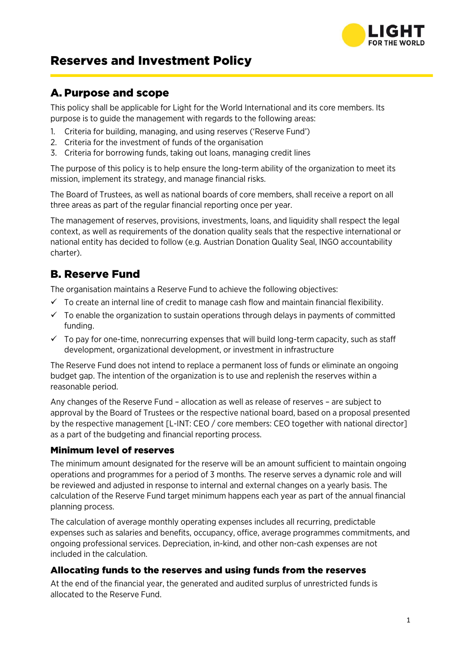

# Reserves and Investment Policy

### A. Purpose and scope

This policy shall be applicable for Light for the World International and its core members. Its purpose is to guide the management with regards to the following areas:

- 1. Criteria for building, managing, and using reserves ('Reserve Fund')
- 2. Criteria for the investment of funds of the organisation
- 3. Criteria for borrowing funds, taking out loans, managing credit lines

The purpose of this policy is to help ensure the long-term ability of the organization to meet its mission, implement its strategy, and manage financial risks.

The Board of Trustees, as well as national boards of core members, shall receive a report on all three areas as part of the regular financial reporting once per year.

The management of reserves, provisions, investments, loans, and liquidity shall respect the legal context, as well as requirements of the donation quality seals that the respective international or national entity has decided to follow (e.g. Austrian Donation Quality Seal, INGO accountability charter).

## B. Reserve Fund

The organisation maintains a Reserve Fund to achieve the following objectives:

- $\checkmark$  To create an internal line of credit to manage cash flow and maintain financial flexibility.
- $\checkmark$  To enable the organization to sustain operations through delays in payments of committed funding.
- $\checkmark$  To pay for one-time, nonrecurring expenses that will build long-term capacity, such as staff development, organizational development, or investment in infrastructure

The Reserve Fund does not intend to replace a permanent loss of funds or eliminate an ongoing budget gap. The intention of the organization is to use and replenish the reserves within a reasonable period.

Any changes of the Reserve Fund – allocation as well as release of reserves – are subject to approval by the Board of Trustees or the respective national board, based on a proposal presented by the respective management [L-INT: CEO / core members: CEO together with national director] as a part of the budgeting and financial reporting process.

#### Minimum level of reserves

The minimum amount designated for the reserve will be an amount sufficient to maintain ongoing operations and programmes for a period of 3 months. The reserve serves a dynamic role and will be reviewed and adjusted in response to internal and external changes on a yearly basis. The calculation of the Reserve Fund target minimum happens each year as part of the annual financial planning process.

The calculation of average monthly operating expenses includes all recurring, predictable expenses such as salaries and benefits, occupancy, office, average programmes commitments, and ongoing professional services. Depreciation, in-kind, and other non-cash expenses are not included in the calculation.

#### Allocating funds to the reserves and using funds from the reserves

At the end of the financial year, the generated and audited surplus of unrestricted funds is allocated to the Reserve Fund.